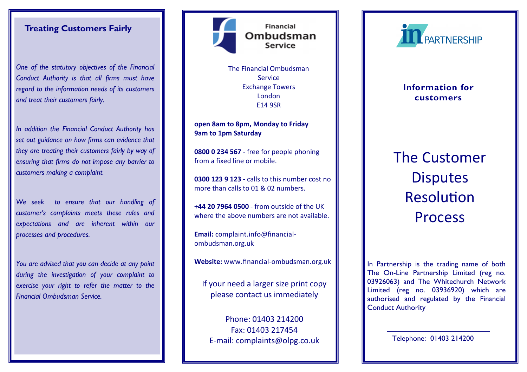## Treating Customers Fairly

One of the statutory objectives of the Financial Conduct Authority is that all firms must have regard to the information needs of its customers and treat their customers fairly.

In addition the Financial Conduct Authority has set out guidance on how firms can evidence that they are treating their customers fairly by way of ensuring that firms do not impose any barrier to customers making a complaint.

We seek to ensure that our handling of customer's complaints meets these rules and expectations and are inherent within our processes and procedures.

You are advised that you can decide at any point during the investigation of your complaint to exercise your right to refer the matter to the Financial Ombudsman Service.



The Financial Ombudsman Service Exchange Towers London E14 9SR

open 8am to 8pm, Monday to Friday 9am to 1pm Saturday

0800 0 234 567 - free for people phoning from a fixed line or mobile.

0300 123 9 123 - calls to this number cost no more than calls to 01 & 02 numbers.

+44 20 7964 0500 - from outside of the UK where the above numbers are not available.

Email: complaint.info@financialombudsman.org.uk

Website: www.financial-ombudsman.org.uk  $\|\cdot\|$  In Partnership is the trading name of both

If your need a larger size print copy please contact us immediately

Phone: 01403 214200 Fax: 01403 217454 E-mail: complaints@olpg.co.uk



# Information for customers

The Customer **Disputes** Resolution Process

 The On-Line Partnership Limited (reg no. 03926063) and The Whitechurch Network Limited (reg no. 03936920) which are authorised and regulated by the Financial Conduct Authority

Telephone: 01403 214200